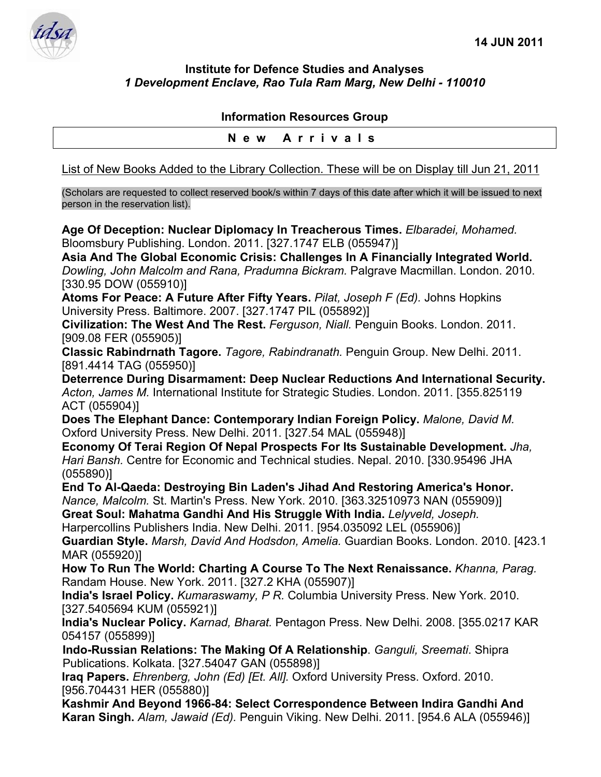

## **Institute for Defence Studies and Analyses**  *1 Development Enclave, Rao Tula Ram Marg, New Delhi - 110010*

## **Information Resources Group**

## **New Arrivals**

List of New Books Added to the Library Collection. These will be on Display till Jun 21, 2011

(Scholars are requested to collect reserved book/s within 7 days of this date after which it will be issued to next person in the reservation list).

**Age Of Deception: Nuclear Diplomacy In Treacherous Times.** *Elbaradei, Mohamed.*  Bloomsbury Publishing. London. 2011. [327.1747 ELB (055947)]

**Asia And The Global Economic Crisis: Challenges In A Financially Integrated World.**  *Dowling, John Malcolm and Rana, Pradumna Bickram.* Palgrave Macmillan. London. 2010. [330.95 DOW (055910)]

**Atoms For Peace: A Future After Fifty Years.** *Pilat, Joseph F (Ed).* Johns Hopkins University Press. Baltimore. 2007. [327.1747 PIL (055892)]

**Civilization: The West And The Rest.** *Ferguson, Niall.* Penguin Books. London. 2011. [909.08 FER (055905)]

**Classic Rabindrnath Tagore.** *Tagore, Rabindranath.* Penguin Group. New Delhi. 2011. [891.4414 TAG (055950)]

**Deterrence During Disarmament: Deep Nuclear Reductions And International Security.**  *Acton, James M.* International Institute for Strategic Studies. London. 2011. [355.825119 ACT (055904)]

**Does The Elephant Dance: Contemporary Indian Foreign Policy.** *Malone, David M.*  Oxford University Press. New Delhi. 2011. [327.54 MAL (055948)]

**Economy Of Terai Region Of Nepal Prospects For Its Sustainable Development.** *Jha, Hari Bansh.* Centre for Economic and Technical studies. Nepal. 2010. [330.95496 JHA (055890)]

**End To Al-Qaeda: Destroying Bin Laden's Jihad And Restoring America's Honor.**  *Nance, Malcolm.* St. Martin's Press. New York. 2010. [363.32510973 NAN (055909)]

**Great Soul: Mahatma Gandhi And His Struggle With India.** *Lelyveld, Joseph.*  Harpercollins Publishers India. New Delhi. 2011. [954.035092 LEL (055906)]

**Guardian Style.** *Marsh, David And Hodsdon, Amelia.* Guardian Books. London. 2010. [423.1 MAR (055920)]

**How To Run The World: Charting A Course To The Next Renaissance.** *Khanna, Parag.*  Randam House. New York. 2011. [327.2 KHA (055907)]

**India's Israel Policy.** *Kumaraswamy, P R.* Columbia University Press. New York. 2010. [327.5405694 KUM (055921)]

**India's Nuclear Policy.** *Karnad, Bharat.* Pentagon Press. New Delhi. 2008. [355.0217 KAR 054157 (055899)]

**Indo-Russian Relations: The Making Of A Relationship**. *Ganguli, Sreemati*. Shipra Publications. Kolkata. [327.54047 GAN (055898)]

**Iraq Papers.** *Ehrenberg, John (Ed) [Et. All].* Oxford University Press. Oxford. 2010. [956.704431 HER (055880)]

**Kashmir And Beyond 1966-84: Select Correspondence Between Indira Gandhi And Karan Singh.** *Alam, Jawaid (Ed).* Penguin Viking. New Delhi. 2011. [954.6 ALA (055946)]